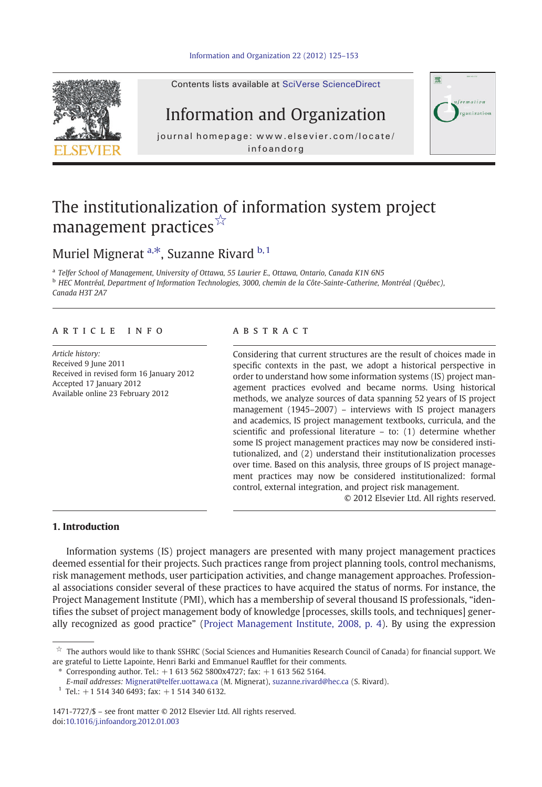

Contents lists available at [SciVerse ScienceDirect](http://www.sciencedirect.com/science/journal/14717727)

## Information and Organization

journal homepage: www.elsevier.com/locate/ infoandorg



## The institutionalization of information system project management practices<sup>☆</sup>

## Muriel Mignerat  $a, *$ , Suzanne Rivard  $b, 1$

a Telfer School of Management, University of Ottawa, 55 Laurier E., Ottawa, Ontario, Canada K1N 6N5 <sup>b</sup> HEC Montréal, Department of Information Technologies, 3000, chemin de la Côte-Sainte-Catherine, Montréal (Québec), Canada H3T 2A7

#### article info abstract

Article history: Received 9 June 2011 Received in revised form 16 January 2012 Accepted 17 January 2012 Available online 23 February 2012

Considering that current structures are the result of choices made in specific contexts in the past, we adopt a historical perspective in order to understand how some information systems (IS) project management practices evolved and became norms. Using historical methods, we analyze sources of data spanning 52 years of IS project management (1945–2007) – interviews with IS project managers and academics, IS project management textbooks, curricula, and the scientific and professional literature – to: (1) determine whether some IS project management practices may now be considered institutionalized, and (2) understand their institutionalization processes over time. Based on this analysis, three groups of IS project management practices may now be considered institutionalized: formal control, external integration, and project risk management.

© 2012 Elsevier Ltd. All rights reserved.

### 1. Introduction

Information systems (IS) project managers are presented with many project management practices deemed essential for their projects. Such practices range from project planning tools, control mechanisms, risk management methods, user participation activities, and change management approaches. Professional associations consider several of these practices to have acquired the status of norms. For instance, the Project Management Institute (PMI), which has a membership of several thousand IS professionals, "identifies the subset of project management body of knowledge [processes, skills tools, and techniques] generally recognized as good practice" [\(Project Management Institute, 2008, p. 4\)](#page--1-0). By using the expression

Corresponding author. Tel.:  $+16135625800x4727$ ; fax:  $+16135625164$ .

 $\dot{\tilde{x}}$  The authors would like to thank SSHRC (Social Sciences and Humanities Research Council of Canada) for financial support. We are grateful to Liette Lapointe, Henri Barki and Emmanuel Raufflet for their comments.

E-mail addresses: [Mignerat@telfer.uottawa.ca](mailto:Mignerat@telfer.uottawa.ca) (M. Mignerat), [suzanne.rivard@hec.ca](mailto:suzanne.rivard@hec.ca) (S. Rivard).

 $1$  Tel.: +1 514 340 6493; fax: +1 514 340 6132.

<sup>1471-7727/\$</sup> – see front matter © 2012 Elsevier Ltd. All rights reserved. doi:[10.1016/j.infoandorg.2012.01.003](http://dx.doi.org/10.1016/j.infoandorg.2012.01.003)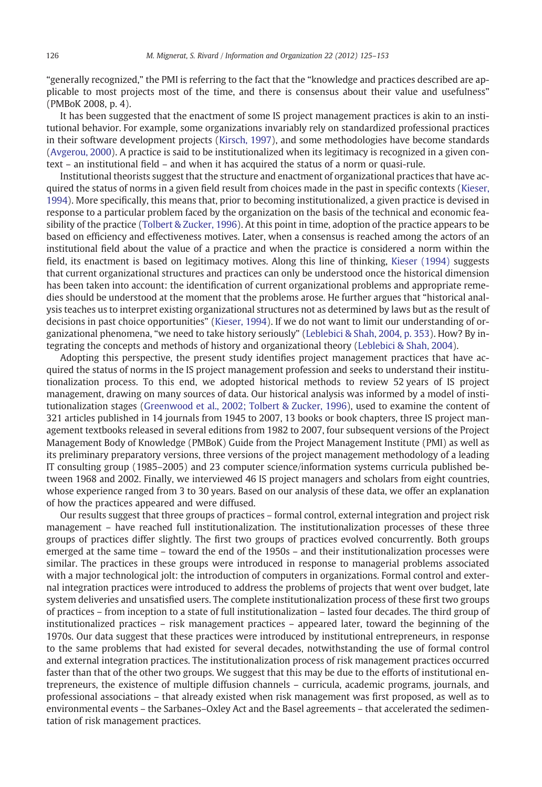"generally recognized," the PMI is referring to the fact that the "knowledge and practices described are applicable to most projects most of the time, and there is consensus about their value and usefulness" (PMBoK 2008, p. 4).

It has been suggested that the enactment of some IS project management practices is akin to an institutional behavior. For example, some organizations invariably rely on standardized professional practices in their software development projects [\(Kirsch, 1997](#page--1-0)), and some methodologies have become standards ([Avgerou, 2000](#page--1-0)). A practice is said to be institutionalized when its legitimacy is recognized in a given context – an institutional field – and when it has acquired the status of a norm or quasi-rule.

Institutional theorists suggest that the structure and enactment of organizational practices that have acquired the status of norms in a given field result from choices made in the past in specific contexts [\(Kieser,](#page--1-0) [1994](#page--1-0)). More specifically, this means that, prior to becoming institutionalized, a given practice is devised in response to a particular problem faced by the organization on the basis of the technical and economic feasibility of the practice [\(Tolbert & Zucker, 1996\)](#page--1-0). At this point in time, adoption of the practice appears to be based on efficiency and effectiveness motives. Later, when a consensus is reached among the actors of an institutional field about the value of a practice and when the practice is considered a norm within the field, its enactment is based on legitimacy motives. Along this line of thinking, [Kieser \(1994\)](#page--1-0) suggests that current organizational structures and practices can only be understood once the historical dimension has been taken into account: the identification of current organizational problems and appropriate remedies should be understood at the moment that the problems arose. He further argues that "historical analysis teaches us to interpret existing organizational structures not as determined by laws but as the result of decisions in past choice opportunities" ([Kieser, 1994](#page--1-0)). If we do not want to limit our understanding of organizational phenomena, "we need to take history seriously" [\(Leblebici & Shah, 2004, p. 353\)](#page--1-0). How? By integrating the concepts and methods of history and organizational theory [\(Leblebici & Shah, 2004\)](#page--1-0).

Adopting this perspective, the present study identifies project management practices that have acquired the status of norms in the IS project management profession and seeks to understand their institutionalization process. To this end, we adopted historical methods to review 52 years of IS project management, drawing on many sources of data. Our historical analysis was informed by a model of institutionalization stages [\(Greenwood et al., 2002; Tolbert & Zucker, 1996](#page--1-0)), used to examine the content of 321 articles published in 14 journals from 1945 to 2007, 13 books or book chapters, three IS project management textbooks released in several editions from 1982 to 2007, four subsequent versions of the Project Management Body of Knowledge (PMBoK) Guide from the Project Management Institute (PMI) as well as its preliminary preparatory versions, three versions of the project management methodology of a leading IT consulting group (1985–2005) and 23 computer science/information systems curricula published between 1968 and 2002. Finally, we interviewed 46 IS project managers and scholars from eight countries, whose experience ranged from 3 to 30 years. Based on our analysis of these data, we offer an explanation of how the practices appeared and were diffused.

Our results suggest that three groups of practices – formal control, external integration and project risk management – have reached full institutionalization. The institutionalization processes of these three groups of practices differ slightly. The first two groups of practices evolved concurrently. Both groups emerged at the same time – toward the end of the 1950s – and their institutionalization processes were similar. The practices in these groups were introduced in response to managerial problems associated with a major technological jolt: the introduction of computers in organizations. Formal control and external integration practices were introduced to address the problems of projects that went over budget, late system deliveries and unsatisfied users. The complete institutionalization process of these first two groups of practices – from inception to a state of full institutionalization – lasted four decades. The third group of institutionalized practices – risk management practices – appeared later, toward the beginning of the 1970s. Our data suggest that these practices were introduced by institutional entrepreneurs, in response to the same problems that had existed for several decades, notwithstanding the use of formal control and external integration practices. The institutionalization process of risk management practices occurred faster than that of the other two groups. We suggest that this may be due to the efforts of institutional entrepreneurs, the existence of multiple diffusion channels – curricula, academic programs, journals, and professional associations – that already existed when risk management was first proposed, as well as to environmental events – the Sarbanes–Oxley Act and the Basel agreements – that accelerated the sedimentation of risk management practices.